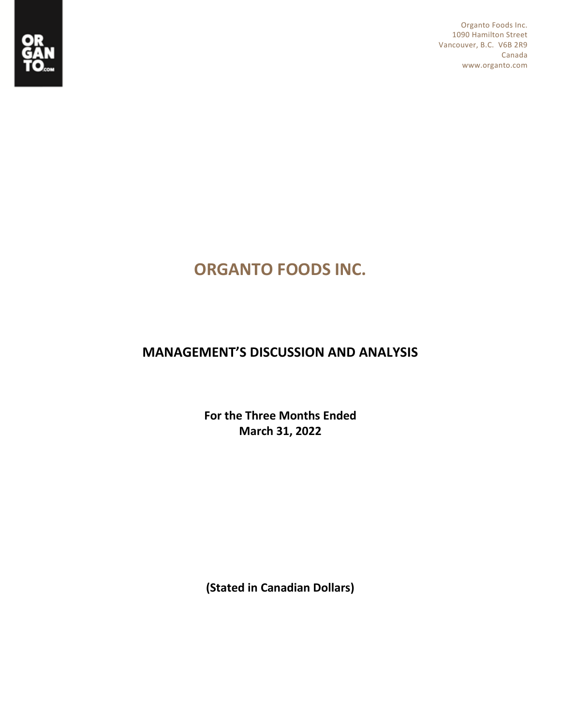

Organto Foods Inc. 1090 Hamilton Street Vancouver, B.C. V6B 2R9 Canada www.organto.com

# **ORGANTO FOODS INC.**

# **MANAGEMENT'S DISCUSSION AND ANALYSIS**

**For the Three Months Ended March 31, 2022**

**(Stated in Canadian Dollars)**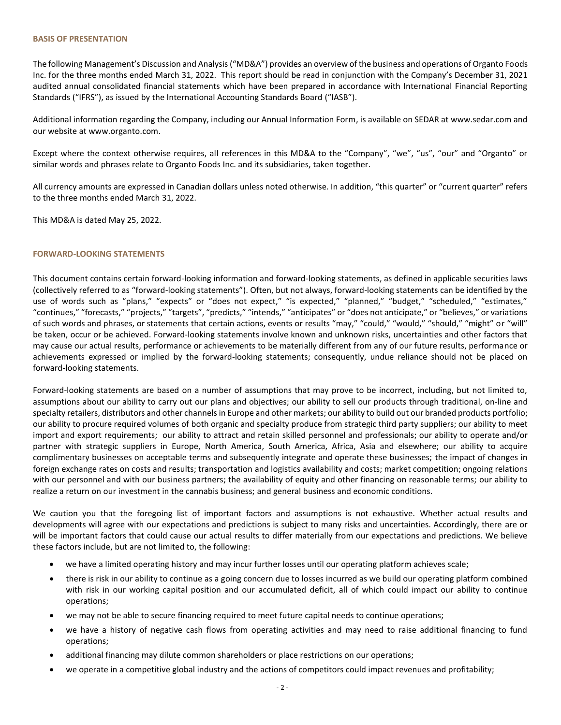#### **BASIS OF PRESENTATION**

The following Management's Discussion and Analysis ("MD&A") provides an overview of the business and operations of Organto Foods Inc. for the three months ended March 31, 2022. This report should be read in conjunction with the Company's December 31, 2021 audited annual consolidated financial statements which have been prepared in accordance with International Financial Reporting Standards ("IFRS"), as issued by the International Accounting Standards Board ("IASB").

Additional information regarding the Company, including our Annual Information Form, is available on SEDAR at [www.sedar.com](http://www.sedar.com/) and our website at www.organto.com.

Except where the context otherwise requires, all references in this MD&A to the "Company", "we", "us", "our" and "Organto" or similar words and phrases relate to Organto Foods Inc. and its subsidiaries, taken together.

All currency amounts are expressed in Canadian dollars unless noted otherwise. In addition, "this quarter" or "current quarter" refers to the three months ended March 31, 2022.

This MD&A is dated May 25, 2022.

#### **FORWARD-LOOKING STATEMENTS**

This document contains certain forward-looking information and forward-looking statements, as defined in applicable securities laws (collectively referred to as "forward-looking statements"). Often, but not always, forward-looking statements can be identified by the use of words such as "plans," "expects" or "does not expect," "is expected," "planned," "budget," "scheduled," "estimates," "continues," "forecasts," "projects," "targets", "predicts," "intends," "anticipates" or "does not anticipate," or "believes," or variations of such words and phrases, or statements that certain actions, events or results "may," "could," "would," "should," "might" or "will" be taken, occur or be achieved. Forward-looking statements involve known and unknown risks, uncertainties and other factors that may cause our actual results, performance or achievements to be materially different from any of our future results, performance or achievements expressed or implied by the forward-looking statements; consequently, undue reliance should not be placed on forward-looking statements.

Forward-looking statements are based on a number of assumptions that may prove to be incorrect, including, but not limited to, assumptions about our ability to carry out our plans and objectives; our ability to sell our products through traditional, on-line and specialty retailers, distributors and other channels in Europe and other markets; our ability to build out our branded products portfolio; our ability to procure required volumes of both organic and specialty produce from strategic third party suppliers; our ability to meet import and export requirements; our ability to attract and retain skilled personnel and professionals; our ability to operate and/or partner with strategic suppliers in Europe, North America, South America, Africa, Asia and elsewhere; our ability to acquire complimentary businesses on acceptable terms and subsequently integrate and operate these businesses; the impact of changes in foreign exchange rates on costs and results; transportation and logistics availability and costs; market competition; ongoing relations with our personnel and with our business partners; the availability of equity and other financing on reasonable terms; our ability to realize a return on our investment in the cannabis business; and general business and economic conditions.

We caution you that the foregoing list of important factors and assumptions is not exhaustive. Whether actual results and developments will agree with our expectations and predictions is subject to many risks and uncertainties. Accordingly, there are or will be important factors that could cause our actual results to differ materially from our expectations and predictions. We believe these factors include, but are not limited to, the following:

- we have a limited operating history and may incur further losses until our operating platform achieves scale;
- there is risk in our ability to continue as a going concern due to losses incurred as we build our operating platform combined with risk in our working capital position and our accumulated deficit, all of which could impact our ability to continue operations;
- we may not be able to secure financing required to meet future capital needs to continue operations;
- we have a history of negative cash flows from operating activities and may need to raise additional financing to fund operations;
- additional financing may dilute common shareholders or place restrictions on our operations;
- we operate in a competitive global industry and the actions of competitors could impact revenues and profitability;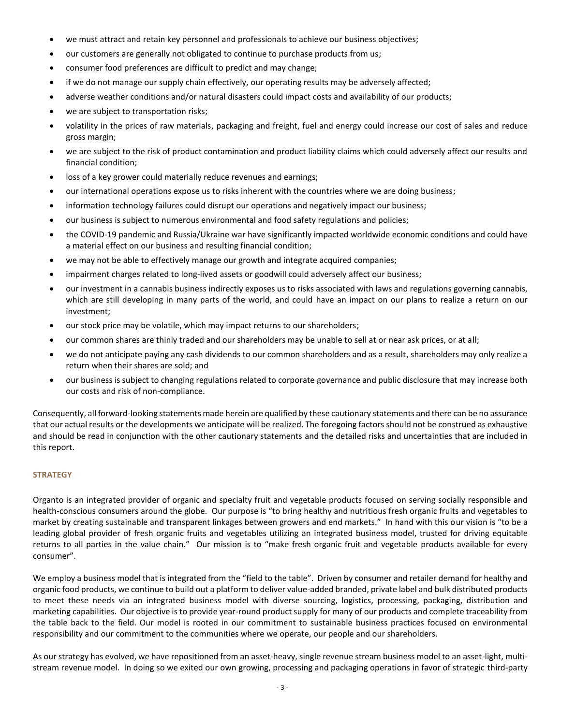- we must attract and retain key personnel and professionals to achieve our business objectives;
- our customers are generally not obligated to continue to purchase products from us;
- consumer food preferences are difficult to predict and may change;
- if we do not manage our supply chain effectively, our operating results may be adversely affected;
- adverse weather conditions and/or natural disasters could impact costs and availability of our products;
- we are subject to transportation risks;
- volatility in the prices of raw materials, packaging and freight, fuel and energy could increase our cost of sales and reduce gross margin;
- we are subject to the risk of product contamination and product liability claims which could adversely affect our results and financial condition;
- loss of a key grower could materially reduce revenues and earnings;
- our international operations expose us to risks inherent with the countries where we are doing business;
- information technology failures could disrupt our operations and negatively impact our business;
- our business is subject to numerous environmental and food safety regulations and policies;
- the COVID-19 pandemic and Russia/Ukraine war have significantly impacted worldwide economic conditions and could have a material effect on our business and resulting financial condition;
- we may not be able to effectively manage our growth and integrate acquired companies;
- impairment charges related to long-lived assets or goodwill could adversely affect our business;
- our investment in a cannabis business indirectly exposes us to risks associated with laws and regulations governing cannabis, which are still developing in many parts of the world, and could have an impact on our plans to realize a return on our investment;
- our stock price may be volatile, which may impact returns to our shareholders;
- our common shares are thinly traded and our shareholders may be unable to sell at or near ask prices, or at all;
- we do not anticipate paying any cash dividends to our common shareholders and as a result, shareholders may only realize a return when their shares are sold; and
- our business is subject to changing regulations related to corporate governance and public disclosure that may increase both our costs and risk of non-compliance.

Consequently, all forward-looking statements made herein are qualified by these cautionary statements and there can be no assurance that our actual results or the developments we anticipate will be realized. The foregoing factors should not be construed as exhaustive and should be read in conjunction with the other cautionary statements and the detailed risks and uncertainties that are included in this report.

#### **STRATEGY**

Organto is an integrated provider of organic and specialty fruit and vegetable products focused on serving socially responsible and health-conscious consumers around the globe. Our purpose is "to bring healthy and nutritious fresh organic fruits and vegetables to market by creating sustainable and transparent linkages between growers and end markets." In hand with this our vision is "to be a leading global provider of fresh organic fruits and vegetables utilizing an integrated business model, trusted for driving equitable returns to all parties in the value chain." Our mission is to "make fresh organic fruit and vegetable products available for every consumer".

We employ a business model that is integrated from the "field to the table". Driven by consumer and retailer demand for healthy and organic food products, we continue to build out a platform to deliver value-added branded, private label and bulk distributed products to meet these needs via an integrated business model with diverse sourcing, logistics, processing, packaging, distribution and marketing capabilities. Our objective is to provide year-round product supply for many of our products and complete traceability from the table back to the field. Our model is rooted in our commitment to sustainable business practices focused on environmental responsibility and our commitment to the communities where we operate, our people and our shareholders.

As our strategy has evolved, we have repositioned from an asset-heavy, single revenue stream business model to an asset-light, multistream revenue model. In doing so we exited our own growing, processing and packaging operations in favor of strategic third-party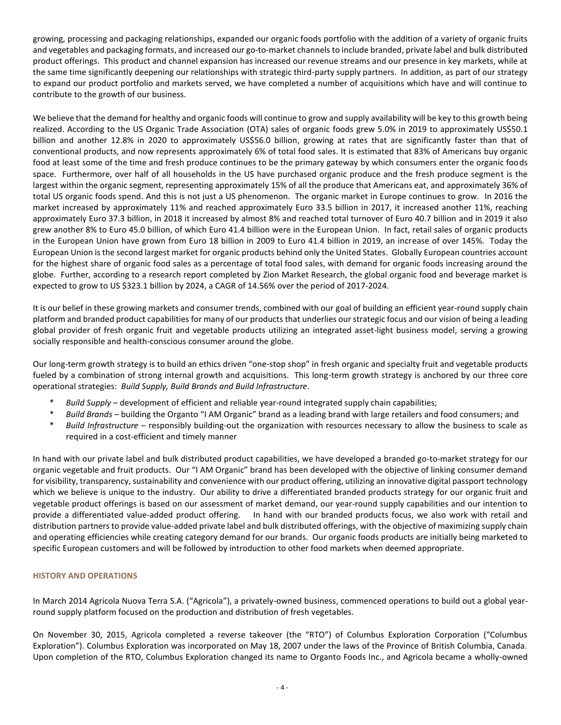growing, processing and packaging relationships, expanded our organic foods portfolio with the addition of a variety of organic fruits and vegetables and packaging formats, and increased our go-to-market channels to include branded, private label and bulk distributed product offerings. This product and channel expansion has increased our revenue streams and our presence in key markets, while at the same time significantly deepening our relationships with strategic third-party supply partners. In addition, as part of our strategy to expand our product portfolio and markets served, we have completed a number of acquisitions which have and will continue to contribute to the growth of our business.

We believe that the demand for healthy and organic foods will continue to grow and supply availability will be key to this growth being realized. According to the US Organic Trade Association (OTA) sales of organic foods grew 5.0% in 2019 to approximately US\$50.1 billion and another 12.8% in 2020 to approximately US\$56.0 billion, growing at rates that are significantly faster than that of conventional products, and now represents approximately 6% of total food sales. It is estimated that 83% of Americans buy organic food at least some of the time and fresh produce continues to be the primary gateway by which consumers enter the organic foods space. Furthermore, over half of all households in the US have purchased organic produce and the fresh produce segment is the largest within the organic segment, representing approximately 15% of all the produce that Americans eat, and approximately 36% of total US organic foods spend. And this is not just a US phenomenon. The organic market in Europe continues to grow. In 2016 the market increased by approximately 11% and reached approximately Euro 33.5 billion in 2017, it increased another 11%, reaching approximately Euro 37.3 billion, in 2018 it increased by almost 8% and reached total turnover of Euro 40.7 billion and in 2019 it also grew another 8% to Euro 45.0 billion, of which Euro 41.4 billion were in the European Union. In fact, retail sales of organic products in the European Union have grown from Euro 18 billion in 2009 to Euro 41.4 billion in 2019, an increase of over 145%. Today the European Union is the second largest market for organic products behind only the United States. Globally European countries account for the highest share of organic food sales as a percentage of total food sales, with demand for organic foods increasing around the globe. Further, according to a research report completed by Zion Market Research, the global organic food and beverage market is expected to grow to US \$323.1 billion by 2024, a CAGR of 14.56% over the period of 2017-2024.

It is our belief in these growing markets and consumer trends, combined with our goal of building an efficient year-round supply chain platform and branded product capabilities for many of our products that underlies our strategic focus and our vision of being a leading global provider of fresh organic fruit and vegetable products utilizing an integrated asset-light business model, serving a growing socially responsible and health-conscious consumer around the globe.

Our long-term growth strategy is to build an ethics driven "one-stop shop" in fresh organic and specialty fruit and vegetable products fueled by a combination of strong internal growth and acquisitions. This long-term growth strategy is anchored by our three core operational strategies: *Build Supply, Build Brands and Build Infrastructure*.

- Build Supply development of efficient and reliable year-round integrated supply chain capabilities;
- Build Brands building the Organto "I AM Organic" brand as a leading brand with large retailers and food consumers; and
- \* *Build Infrastructure* responsibly building-out the organization with resources necessary to allow the business to scale as required in a cost-efficient and timely manner

In hand with our private label and bulk distributed product capabilities, we have developed a branded go-to-market strategy for our organic vegetable and fruit products. Our "I AM Organic" brand has been developed with the objective of linking consumer demand for visibility, transparency, sustainability and convenience with our product offering, utilizing an innovative digital passport technology which we believe is unique to the industry. Our ability to drive a differentiated branded products strategy for our organic fruit and vegetable product offerings is based on our assessment of market demand, our year-round supply capabilities and our intention to provide a differentiated value-added product offering. In hand with our branded products focus, we also work with retail and distribution partners to provide value-added private label and bulk distributed offerings, with the objective of maximizing supply chain and operating efficiencies while creating category demand for our brands. Our organic foods products are initially being marketed to specific European customers and will be followed by introduction to other food markets when deemed appropriate.

# **HISTORY AND OPERATIONS**

In March 2014 Agricola Nuova Terra S.A. ("Agricola"), a privately-owned business, commenced operations to build out a global yearround supply platform focused on the production and distribution of fresh vegetables.

On November 30, 2015, Agricola completed a reverse takeover (the "RTO") of Columbus Exploration Corporation ("Columbus Exploration"). Columbus Exploration was incorporated on May 18, 2007 under the laws of the Province of British Columbia, Canada. Upon completion of the RTO, Columbus Exploration changed its name to Organto Foods Inc., and Agricola became a wholly-owned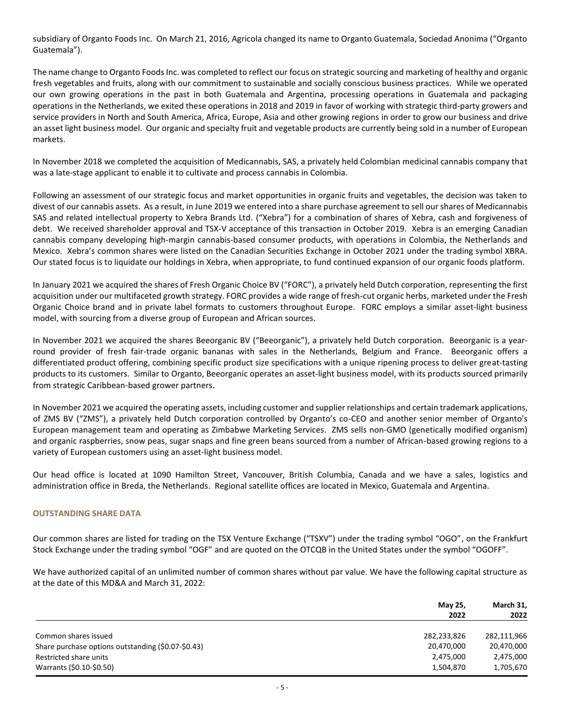subsidiary of Organto Foods Inc. On March 21, 2016, Agricola changed its name to Organto Guatemala, Sociedad Anonima ("Organto Guatemala").

The name change to Organto Foods Inc. was completed to reflect our focus on strategic sourcing and marketing of healthy and organic fresh vegetables and fruits, along with our commitment to sustainable and socially conscious business practices. While we operated our own growing operations in the past in both Guatemala and Argentina, processing operations in Guatemala and packaging operations in the Netherlands, we exited these operations in 2018 and 2019 in favor of working with strategic third-party growers and service providers in North and South America, Africa, Europe, Asia and other growing regions in order to grow our business and drive an asset light business model. Our organic and specialty fruit and vegetable products are currently being sold in a number of European markets.

In November 2018 we completed the acquisition of Medicannabis, SAS, a privately held Colombian medicinal cannabis company that was a late-stage applicant to enable it to cultivate and process cannabis in Colombia.

Following an assessment of our strategic focus and market opportunities in organic fruits and vegetables, the decision was taken to divest of our cannabis assets. As a result, in June 2019 we entered into a share purchase agreement to sell our shares of Medicannabis SAS and related intellectual property to Xebra Brands Ltd. ("Xebra") for a combination of shares of Xebra, cash and forgiveness of debt. We received shareholder approval and TSX-V acceptance of this transaction in October 2019. Xebra is an emerging Canadian cannabis company developing high-margin cannabis-based consumer products, with operations in Colombia, the Netherlands and Mexico. Xebra's common shares were listed on the Canadian Securities Exchange in October 2021 under the trading symbol XBRA. Our stated focus is to liquidate our holdings in Xebra, when appropriate, to fund continued expansion of our organic foods platform.

In January 2021 we acquired the shares of Fresh Organic Choice BV ("FORC"), a privately held Dutch corporation, representing the first acquisition under our multifaceted growth strategy. FORC provides a wide range of fresh-cut organic herbs, marketed under the Fresh Organic Choice brand and in private label formats to customers throughout Europe. FORC employs a similar asset-light business model, with sourcing from a diverse group of European and African sources.

In November 2021 we acquired the shares Beeorganic BV ("Beeorganic"), a privately held Dutch corporation. Beeorganic is a yearround provider of fresh fair-trade organic bananas with sales in the Netherlands, Belgium and France. Beeorganic offers a differentiated product offering, combining specific product size specifications with a unique ripening process to deliver great-tasting products to its customers. Similar to Organto, Beeorganic operates an asset-light business model, with its products sourced primarily from strategic Caribbean-based grower partners.

In November 2021 we acquired the operating assets, including customer and supplier relationships and certain trademark applications, of ZMS BV ("ZMS"), a privately held Dutch corporation controlled by Organto's co-CEO and another senior member of Organto's European management team and operating as Zimbabwe Marketing Services. ZMS sells non-GMO (genetically modified organism) and organic raspberries, snow peas, sugar snaps and fine green beans sourced from a number of African-based growing regions to a variety of European customers using an asset-light business model.

Our head office is located at 1090 Hamilton Street, Vancouver, British Columbia, Canada and we have a sales, logistics and administration office in Breda, the Netherlands. Regional satellite offices are located in Mexico, Guatemala and Argentina.

# **OUTSTANDING SHARE DATA**

Our common shares are listed for trading on the TSX Venture Exchange ("TSXV") under the trading symbol "OGO", on the Frankfurt Stock Exchange under the trading symbol "OGF" and are quoted on the OTCQB in the United States under the symbol "OGOFF".

We have authorized capital of an unlimited number of common shares without par value. We have the following capital structure as at the date of this MD&A and March 31, 2022:

|                                                    | May 25,<br>2022 | March 31,<br>2022 |
|----------------------------------------------------|-----------------|-------------------|
|                                                    |                 |                   |
| Common shares issued                               | 282,233,826     | 282,111,966       |
| Share purchase options outstanding (\$0.07-\$0.43) | 20,470,000      | 20,470,000        |
| Restricted share units                             | 2,475,000       | 2,475,000         |
| Warrants (\$0.10-\$0.50)                           | 1,504,870       | 1,705,670         |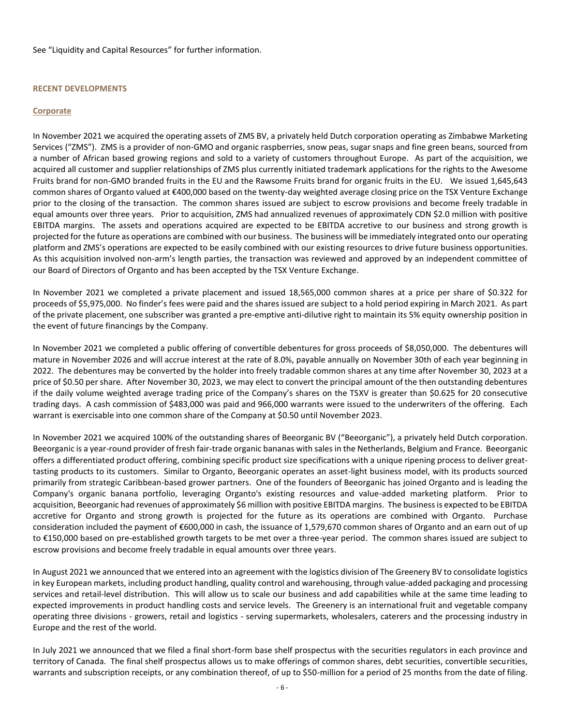#### See "[Liquidity and Capital Resources](#page-11-0)" for further information.

#### **RECENT DEVELOPMENTS**

#### **Corporate**

In November 2021 we acquired the operating assets of ZMS BV, a privately held Dutch corporation operating as Zimbabwe Marketing Services ("ZMS"). ZMS is a provider of non-GMO and organic raspberries, snow peas, sugar snaps and fine green beans, sourced from a number of African based growing regions and sold to a variety of customers throughout Europe. As part of the acquisition, we acquired all customer and supplier relationships of ZMS plus currently initiated trademark applications for the rights to the Awesome Fruits brand for non-GMO branded fruits in the EU and the Rawsome Fruits brand for organic fruits in the EU. We issued 1,645,643 common shares of Organto valued at €400,000 based on the twenty-day weighted average closing price on the TSX Venture Exchange prior to the closing of the transaction. The common shares issued are subject to escrow provisions and become freely tradable in equal amounts over three years. Prior to acquisition, ZMS had annualized revenues of approximately CDN \$2.0 million with positive EBITDA margins. The assets and operations acquired are expected to be EBITDA accretive to our business and strong growth is projected for the future as operations are combined with our business. The business will be immediately integrated onto our operating platform and ZMS's operations are expected to be easily combined with our existing resources to drive future business opportunities. As this acquisition involved non-arm's length parties, the transaction was reviewed and approved by an independent committee of our Board of Directors of Organto and has been accepted by the TSX Venture Exchange.

In November 2021 we completed a private placement and issued 18,565,000 common shares at a price per share of \$0.322 for proceeds of \$5,975,000. No finder's fees were paid and the shares issued are subject to a hold period expiring in March 2021. As part of the private placement, one subscriber was granted a pre-emptive anti-dilutive right to maintain its 5% equity ownership position in the event of future financings by the Company.

In November 2021 we completed a public offering of convertible debentures for gross proceeds of \$8,050,000. The debentures will mature in November 2026 and will accrue interest at the rate of 8.0%, payable annually on November 30th of each year beginning in 2022. The debentures may be converted by the holder into freely tradable common shares at any time after November 30, 2023 at a price of \$0.50 per share. After November 30, 2023, we may elect to convert the principal amount of the then outstanding debentures if the daily volume weighted average trading price of the Company's shares on the TSXV is greater than \$0.625 for 20 consecutive trading days. A cash commission of \$483,000 was paid and 966,000 warrants were issued to the underwriters of the offering. Each warrant is exercisable into one common share of the Company at \$0.50 until November 2023.

In November 2021 we acquired 100% of the outstanding shares of Beeorganic BV ("Beeorganic"), a privately held Dutch corporation. Beeorganic is a year-round provider of fresh fair-trade organic bananas with sales in the Netherlands, Belgium and France. Beeorganic offers a differentiated product offering, combining specific product size specifications with a unique ripening process to deliver greattasting products to its customers. Similar to Organto, Beeorganic operates an asset-light business model, with its products sourced primarily from strategic Caribbean-based grower partners. One of the founders of Beeorganic has joined Organto and is leading the Company's organic banana portfolio, leveraging Organto's existing resources and value-added marketing platform. Prior to acquisition, Beeorganic had revenues of approximately \$6 million with positive EBITDA margins. The business is expected to be EBITDA accretive for Organto and strong growth is projected for the future as its operations are combined with Organto. Purchase consideration included the payment of €600,000 in cash, the issuance of 1,579,670 common shares of Organto and an earn out of up to €150,000 based on pre-established growth targets to be met over a three-year period. The common shares issued are subject to escrow provisions and become freely tradable in equal amounts over three years.

In August 2021 we announced that we entered into an agreement with the logistics division of The Greenery BV to consolidate logistics in key European markets, including product handling, quality control and warehousing, through value-added packaging and processing services and retail-level distribution. This will allow us to scale our business and add capabilities while at the same time leading to expected improvements in product handling costs and service levels. The Greenery is an international fruit and vegetable company operating three divisions - growers, retail and logistics - serving supermarkets, wholesalers, caterers and the processing industry in Europe and the rest of the world.

In July 2021 we announced that we filed a final short-form base shelf prospectus with the securities regulators in each province and territory of Canada. The final shelf prospectus allows us to make offerings of common shares, debt securities, convertible securities, warrants and subscription receipts, or any combination thereof, of up to \$50-million for a period of 25 months from the date of filing.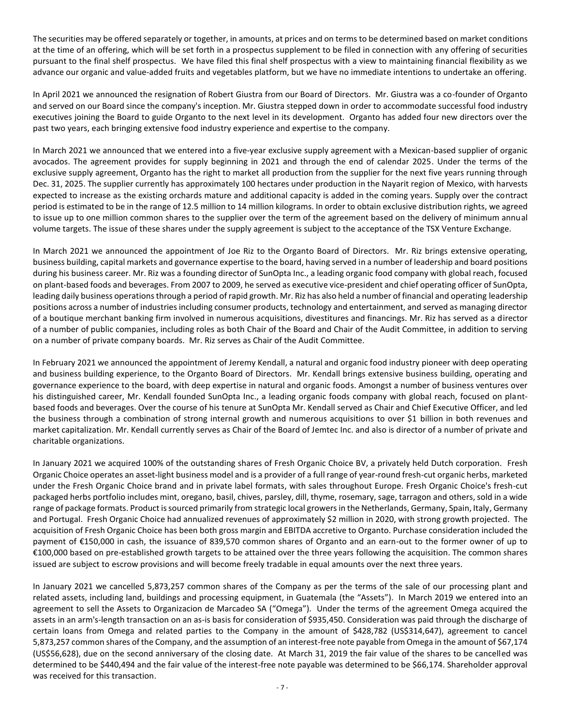The securities may be offered separately or together, in amounts, at prices and on terms to be determined based on market conditions at the time of an offering, which will be set forth in a prospectus supplement to be filed in connection with any offering of securities pursuant to the final shelf prospectus. We have filed this final shelf prospectus with a view to maintaining financial flexibility as we advance our organic and value-added fruits and vegetables platform, but we have no immediate intentions to undertake an offering.

In April 2021 we announced the resignation of Robert Giustra from our Board of Directors. Mr. Giustra was a co-founder of Organto and served on our Board since the company's inception. Mr. Giustra stepped down in order to accommodate successful food industry executives joining the Board to guide Organto to the next level in its development. Organto has added four new directors over the past two years, each bringing extensive food industry experience and expertise to the company.

In March 2021 we announced that we entered into a five-year exclusive supply agreement with a Mexican-based supplier of organic avocados. The agreement provides for supply beginning in 2021 and through the end of calendar 2025. Under the terms of the exclusive supply agreement, Organto has the right to market all production from the supplier for the next five years running through Dec. 31, 2025. The supplier currently has approximately 100 hectares under production in the Nayarit region of Mexico, with harvests expected to increase as the existing orchards mature and additional capacity is added in the coming years. Supply over the contract period is estimated to be in the range of 12.5 million to 14 million kilograms. In order to obtain exclusive distribution rights, we agreed to issue up to one million common shares to the supplier over the term of the agreement based on the delivery of minimum annual volume targets. The issue of these shares under the supply agreement is subject to the acceptance of the TSX Venture Exchange.

In March 2021 we announced the appointment of Joe Riz to the Organto Board of Directors. Mr. Riz brings extensive operating, business building, capital markets and governance expertise to the board, having served in a number of leadership and board positions during his business career. Mr. Riz was a founding director of SunOpta Inc., a leading organic food company with global reach, focused on plant-based foods and beverages. From 2007 to 2009, he served as executive vice-president and chief operating officer of SunOpta, leading daily business operations through a period of rapid growth. Mr. Riz has also held a number of financial and operating leadership positions across a number of industries including consumer products, technology and entertainment, and served as managing director of a boutique merchant banking firm involved in numerous acquisitions, divestitures and financings. Mr. Riz has served as a director of a number of public companies, including roles as both Chair of the Board and Chair of the Audit Committee, in addition to serving on a number of private company boards. Mr. Riz serves as Chair of the Audit Committee.

In February 2021 we announced the appointment of Jeremy Kendall, a natural and organic food industry pioneer with deep operating and business building experience, to the Organto Board of Directors. Mr. Kendall brings extensive business building, operating and governance experience to the board, with deep expertise in natural and organic foods. Amongst a number of business ventures over his distinguished career, Mr. Kendall founded SunOpta Inc., a leading organic foods company with global reach, focused on plantbased foods and beverages. Over the course of his tenure at SunOpta Mr. Kendall served as Chair and Chief Executive Officer, and led the business through a combination of strong internal growth and numerous acquisitions to over \$1 billion in both revenues and market capitalization. Mr. Kendall currently serves as Chair of the Board of Jemtec Inc. and also is director of a number of private and charitable organizations.

In January 2021 we acquired 100% of the outstanding shares of Fresh Organic Choice BV, a privately held Dutch corporation. Fresh Organic Choice operates an asset-light business model and is a provider of a full range of year-round fresh-cut organic herbs, marketed under the Fresh Organic Choice brand and in private label formats, with sales throughout Europe. Fresh Organic Choice's fresh-cut packaged herbs portfolio includes mint, oregano, basil, chives, parsley, dill, thyme, rosemary, sage, tarragon and others, sold in a wide range of package formats. Product is sourced primarily from strategic local growers in the Netherlands, Germany, Spain, Italy, Germany and Portugal. Fresh Organic Choice had annualized revenues of approximately \$2 million in 2020, with strong growth projected. The acquisition of Fresh Organic Choice has been both gross margin and EBITDA accretive to Organto. Purchase consideration included the payment of €150,000 in cash, the issuance of 839,570 common shares of Organto and an earn-out to the former owner of up to €100,000 based on pre-established growth targets to be attained over the three years following the acquisition. The common shares issued are subject to escrow provisions and will become freely tradable in equal amounts over the next three years.

In January 2021 we cancelled 5,873,257 common shares of the Company as per the terms of the sale of our processing plant and related assets, including land, buildings and processing equipment, in Guatemala (the "Assets"). In March 2019 we entered into an agreement to sell the Assets to Organizacion de Marcadeo SA ("Omega"). Under the terms of the agreement Omega acquired the assets in an arm's-length transaction on an as-is basis for consideration of \$935,450. Consideration was paid through the discharge of certain loans from Omega and related parties to the Company in the amount of \$428,782 (US\$314,647), agreement to cancel 5,873,257 common shares of the Company, and the assumption of an interest-free note payable from Omega in the amount of \$67,174 (US\$56,628), due on the second anniversary of the closing date. At March 31, 2019 the fair value of the shares to be cancelled was determined to be \$440,494 and the fair value of the interest-free note payable was determined to be \$66,174. Shareholder approval was received for this transaction.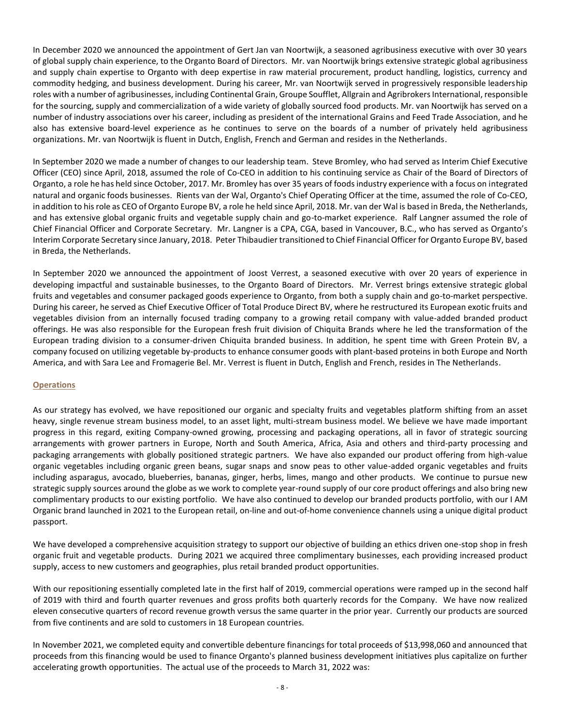In December 2020 we announced the appointment of Gert Jan van Noortwijk, a seasoned agribusiness executive with over 30 years of global supply chain experience, to the Organto Board of Directors. Mr. van Noortwijk brings extensive strategic global agribusiness and supply chain expertise to Organto with deep expertise in raw material procurement, product handling, logistics, currency and commodity hedging, and business development. During his career, Mr. van Noortwijk served in progressively responsible leadership roles with a number of agribusinesses, including Continental Grain, Groupe Soufflet, Allgrain and Agribrokers International, responsible for the sourcing, supply and commercialization of a wide variety of globally sourced food products. Mr. van Noortwijk has served on a number of industry associations over his career, including as president of the international Grains and Feed Trade Association, and he also has extensive board-level experience as he continues to serve on the boards of a number of privately held agribusiness organizations. Mr. van Noortwijk is fluent in Dutch, English, French and German and resides in the Netherlands.

In September 2020 we made a number of changes to our leadership team. Steve Bromley, who had served as Interim Chief Executive Officer (CEO) since April, 2018, assumed the role of Co-CEO in addition to his continuing service as Chair of the Board of Directors of Organto, a role he has held since October, 2017. Mr. Bromley has over 35 years of foods industry experience with a focus on integrated natural and organic foods businesses. Rients van der Wal, Organto's Chief Operating Officer at the time, assumed the role of Co-CEO, in addition to his role as CEO of Organto Europe BV, a role he held since April, 2018. Mr. van der Wal is based in Breda, the Netherlands, and has extensive global organic fruits and vegetable supply chain and go-to-market experience. Ralf Langner assumed the role of Chief Financial Officer and Corporate Secretary. Mr. Langner is a CPA, CGA, based in Vancouver, B.C., who has served as Organto's Interim Corporate Secretary since January, 2018. Peter Thibaudier transitioned to Chief Financial Officer for Organto Europe BV, based in Breda, the Netherlands.

In September 2020 we announced the appointment of Joost Verrest, a seasoned executive with over 20 years of experience in developing impactful and sustainable businesses, to the Organto Board of Directors. Mr. Verrest brings extensive strategic global fruits and vegetables and consumer packaged goods experience to Organto, from both a supply chain and go-to-market perspective. During his career, he served as Chief Executive Officer of Total Produce Direct BV, where he restructured its European exotic fruits and vegetables division from an internally focused trading company to a growing retail company with value-added branded product offerings. He was also responsible for the European fresh fruit division of Chiquita Brands where he led the transformation of the European trading division to a consumer-driven Chiquita branded business. In addition, he spent time with Green Protein BV, a company focused on utilizing vegetable by-products to enhance consumer goods with plant-based proteins in both Europe and North America, and with Sara Lee and Fromagerie Bel. Mr. Verrest is fluent in Dutch, English and French, resides in The Netherlands.

# **Operations**

As our strategy has evolved, we have repositioned our organic and specialty fruits and vegetables platform shifting from an asset heavy, single revenue stream business model, to an asset light, multi-stream business model. We believe we have made important progress in this regard, exiting Company-owned growing, processing and packaging operations, all in favor of strategic sourcing arrangements with grower partners in Europe, North and South America, Africa, Asia and others and third-party processing and packaging arrangements with globally positioned strategic partners. We have also expanded our product offering from high-value organic vegetables including organic green beans, sugar snaps and snow peas to other value-added organic vegetables and fruits including asparagus, avocado, blueberries, bananas, ginger, herbs, limes, mango and other products. We continue to pursue new strategic supply sources around the globe as we work to complete year-round supply of our core product offerings and also bring new complimentary products to our existing portfolio. We have also continued to develop our branded products portfolio, with our I AM Organic brand launched in 2021 to the European retail, on-line and out-of-home convenience channels using a unique digital product passport.

We have developed a comprehensive acquisition strategy to support our objective of building an ethics driven one-stop shop in fresh organic fruit and vegetable products. During 2021 we acquired three complimentary businesses, each providing increased product supply, access to new customers and geographies, plus retail branded product opportunities.

With our repositioning essentially completed late in the first half of 2019, commercial operations were ramped up in the second half of 2019 with third and fourth quarter revenues and gross profits both quarterly records for the Company. We have now realized eleven consecutive quarters of record revenue growth versus the same quarter in the prior year. Currently our products are sourced from five continents and are sold to customers in 18 European countries.

In November 2021, we completed equity and convertible debenture financings for total proceeds of \$13,998,060 and announced that proceeds from this financing would be used to finance Organto's planned business development initiatives plus capitalize on further accelerating growth opportunities. The actual use of the proceeds to March 31, 2022 was: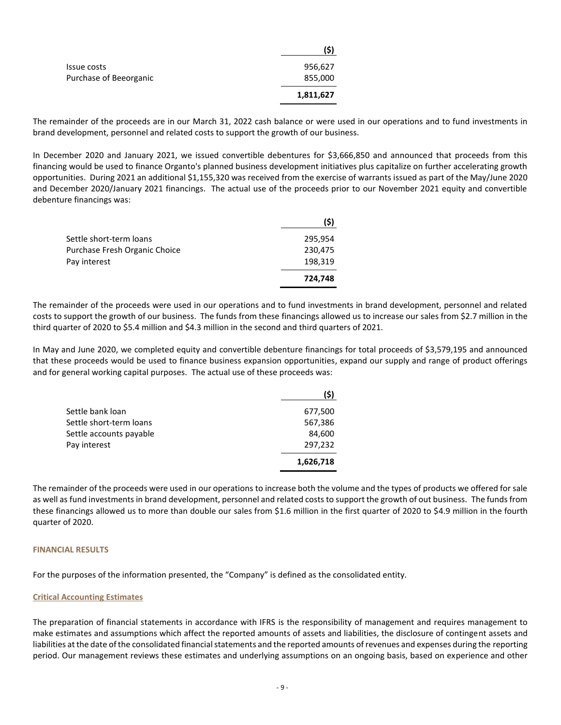|                        | 15        |
|------------------------|-----------|
| Issue costs            | 956,627   |
| Purchase of Beeorganic | 855,000   |
|                        | 1,811,627 |

The remainder of the proceeds are in our March 31, 2022 cash balance or were used in our operations and to fund investments in brand development, personnel and related costs to support the growth of our business.

**(\$)**

In December 2020 and January 2021, we issued convertible debentures for \$3,666,850 and announced that proceeds from this financing would be used to finance Organto's planned business development initiatives plus capitalize on further accelerating growth opportunities. During 2021 an additional \$1,155,320 was received from the exercise of warrants issued as part of the May/June 2020 and December 2020/January 2021 financings. The actual use of the proceeds prior to our November 2021 equity and convertible debenture financings was:

| Settle short-term loans       | 295,954 |
|-------------------------------|---------|
| Purchase Fresh Organic Choice | 230,475 |
| Pay interest                  | 198,319 |
|                               | 724,748 |

The remainder of the proceeds were used in our operations and to fund investments in brand development, personnel and related costs to support the growth of our business. The funds from these financings allowed us to increase our sales from \$2.7 million in the third quarter of 2020 to \$5.4 million and \$4.3 million in the second and third quarters of 2021.

In May and June 2020, we completed equity and convertible debenture financings for total proceeds of \$3,579,195 and announced that these proceeds would be used to finance business expansion opportunities, expand our supply and range of product offerings and for general working capital purposes. The actual use of these proceeds was:

|                         | (\$)      |
|-------------------------|-----------|
| Settle bank loan        | 677,500   |
| Settle short-term loans | 567,386   |
| Settle accounts payable | 84,600    |
| Pay interest            | 297,232   |
|                         | 1,626,718 |

The remainder of the proceeds were used in our operations to increase both the volume and the types of products we offered for sale as well as fund investments in brand development, personnel and related costs to support the growth of out business. The funds from these financings allowed us to more than double our sales from \$1.6 million in the first quarter of 2020 to \$4.9 million in the fourth quarter of 2020.

#### **FINANCIAL RESULTS**

For the purposes of the information presented, the "Company" is defined as the consolidated entity.

#### **Critical Accounting Estimates**

The preparation of financial statements in accordance with IFRS is the responsibility of management and requires management to make estimates and assumptions which affect the reported amounts of assets and liabilities, the disclosure of contingent assets and liabilities at the date of the consolidated financial statements and the reported amounts of revenues and expenses during the reporting period. Our management reviews these estimates and underlying assumptions on an ongoing basis, based on experience and other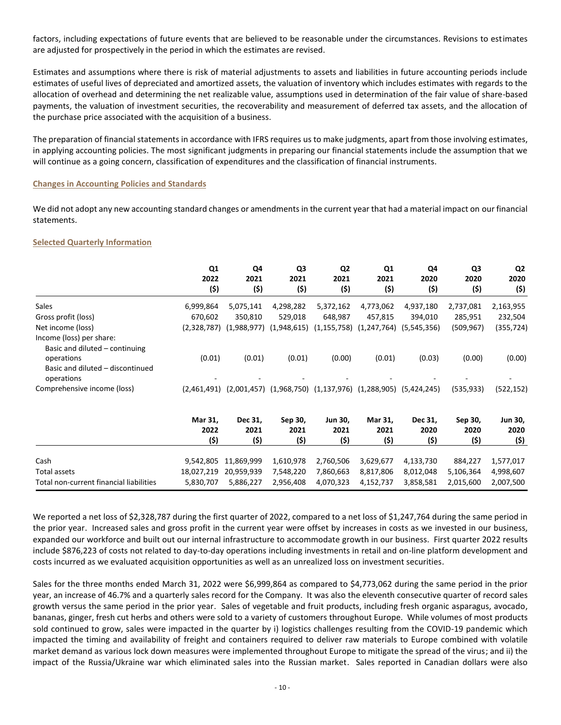factors, including expectations of future events that are believed to be reasonable under the circumstances. Revisions to estimates are adjusted for prospectively in the period in which the estimates are revised.

Estimates and assumptions where there is risk of material adjustments to assets and liabilities in future accounting periods include estimates of useful lives of depreciated and amortized assets, the valuation of inventory which includes estimates with regards to the allocation of overhead and determining the net realizable value, assumptions used in determination of the fair value of share-based payments, the valuation of investment securities, the recoverability and measurement of deferred tax assets, and the allocation of the purchase price associated with the acquisition of a business.

The preparation of financial statements in accordance with IFRS requires us to make judgments, apart from those involving estimates, in applying accounting policies. The most significant judgments in preparing our financial statements include the assumption that we will continue as a going concern, classification of expenditures and the classification of financial instruments.

#### **Changes in Accounting Policies and Standards**

We did not adopt any new accounting standard changes or amendments in the current year that had a material impact on our financial statements.

# **Selected Quarterly Information**

|                                                                                 | Q <sub>1</sub><br>2022<br>(\$) | Q4<br>2021<br>(\$)          | Q3<br>2021<br>(5)           | Q <sub>2</sub><br>2021<br>(\$) | Q1<br>2021<br>(5)           | Q4<br>2020<br>(5)       | Q3<br>2020<br>(5)       | Q2<br>2020<br>(5)              |
|---------------------------------------------------------------------------------|--------------------------------|-----------------------------|-----------------------------|--------------------------------|-----------------------------|-------------------------|-------------------------|--------------------------------|
| Sales                                                                           | 6,999,864                      | 5,075,141                   | 4,298,282                   | 5,372,162                      | 4,773,062                   | 4,937,180               | 2,737,081               | 2,163,955                      |
| Gross profit (loss)                                                             | 670,602                        | 350,810                     | 529,018                     | 648,987                        | 457,815                     | 394,010                 | 285,951                 | 232,504                        |
| Net income (loss)<br>Income (loss) per share:<br>Basic and diluted – continuing |                                | $(2,328,787)$ $(1,988,977)$ | (1,948,615)                 | (1, 155, 758)                  | (1, 247, 764)               | (5,545,356)             | (509,967)               | (355,724)                      |
| operations<br>Basic and diluted - discontinued<br>operations                    | (0.01)                         | (0.01)                      | (0.01)                      | (0.00)                         | (0.01)                      | (0.03)                  | (0.00)                  | (0.00)                         |
| Comprehensive income (loss)                                                     | (2,461,491)                    |                             | $(2,001,457)$ $(1,968,750)$ |                                | $(1,137,976)$ $(1,288,905)$ | (5,424,245)             | (535, 933)              | (522, 152)                     |
|                                                                                 | Mar 31,<br>2022<br>(\$)        | Dec 31,<br>2021<br>(\$)     | Sep 30,<br>2021<br>(\$)     | <b>Jun 30,</b><br>2021<br>(\$) | Mar 31,<br>2021<br>(\$)     | Dec 31,<br>2020<br>(\$) | Sep 30,<br>2020<br>(\$) | <b>Jun 30,</b><br>2020<br>(\$) |
| Cash                                                                            | 9,542,805                      | 11,869,999                  | 1,610,978                   | 2,760,506                      | 3,629,677                   | 4,133,730               | 884,227                 | 1,577,017                      |

We reported a net loss of \$2,328,787 during the first quarter of 2022, compared to a net loss of \$1,247,764 during the same period in the prior year. Increased sales and gross profit in the current year were offset by increases in costs as we invested in our business, expanded our workforce and built out our internal infrastructure to accommodate growth in our business. First quarter 2022 results include \$876,223 of costs not related to day-to-day operations including investments in retail and on-line platform development and costs incurred as we evaluated acquisition opportunities as well as an unrealized loss on investment securities.

Total assets 18,027,219 20,959,939 7,548,220 7,860,663 8,817,806 8,012,048 5,106,364 4,998,607 Total non-current financial liabilities 5,830,707 5,886,227 2,956,408 4,070,323 4,152,737 3,858,581 2,015,600 2,007,500

Sales for the three months ended March 31, 2022 were \$6,999,864 as compared to \$4,773,062 during the same period in the prior year, an increase of 46.7% and a quarterly sales record for the Company. It was also the eleventh consecutive quarter of record sales growth versus the same period in the prior year. Sales of vegetable and fruit products, including fresh organic asparagus, avocado, bananas, ginger, fresh cut herbs and others were sold to a variety of customers throughout Europe. While volumes of most products sold continued to grow, sales were impacted in the quarter by i) logistics challenges resulting from the COVID-19 pandemic which impacted the timing and availability of freight and containers required to deliver raw materials to Europe combined with volatile market demand as various lock down measures were implemented throughout Europe to mitigate the spread of the virus; and ii) the impact of the Russia/Ukraine war which eliminated sales into the Russian market. Sales reported in Canadian dollars were also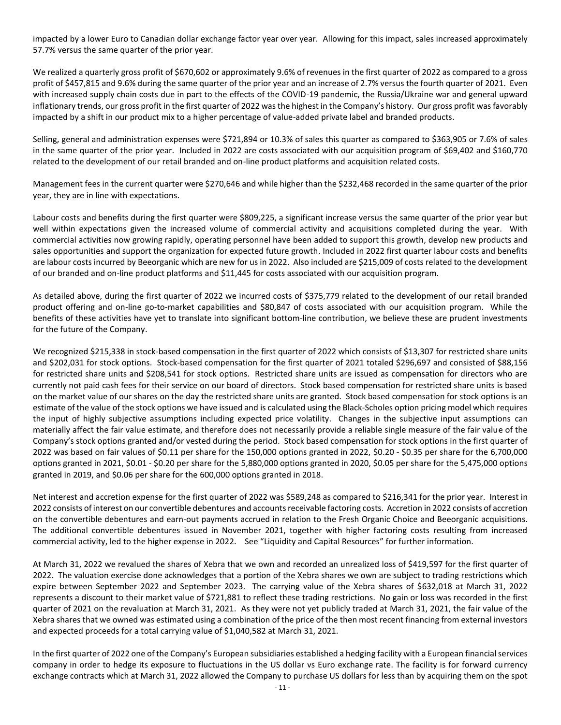impacted by a lower Euro to Canadian dollar exchange factor year over year. Allowing for this impact, sales increased approximately 57.7% versus the same quarter of the prior year.

We realized a quarterly gross profit of \$670,602 or approximately 9.6% of revenues in the first quarter of 2022 as compared to a gross profit of \$457,815 and 9.6% during the same quarter of the prior year and an increase of 2.7% versus the fourth quarter of 2021. Even with increased supply chain costs due in part to the effects of the COVID-19 pandemic, the Russia/Ukraine war and general upward inflationary trends, our gross profit in the first quarter of 2022 was the highest in the Company's history. Our gross profit was favorably impacted by a shift in our product mix to a higher percentage of value-added private label and branded products.

Selling, general and administration expenses were \$721,894 or 10.3% of sales this quarter as compared to \$363,905 or 7.6% of sales in the same quarter of the prior year. Included in 2022 are costs associated with our acquisition program of \$69,402 and \$160,770 related to the development of our retail branded and on-line product platforms and acquisition related costs.

Management fees in the current quarter were \$270,646 and while higher than the \$232,468 recorded in the same quarter of the prior year, they are in line with expectations.

Labour costs and benefits during the first quarter were \$809,225, a significant increase versus the same quarter of the prior year but well within expectations given the increased volume of commercial activity and acquisitions completed during the year. With commercial activities now growing rapidly, operating personnel have been added to support this growth, develop new products and sales opportunities and support the organization for expected future growth. Included in 2022 first quarter labour costs and benefits are labour costs incurred by Beeorganic which are new for us in 2022. Also included are \$215,009 of costs related to the development of our branded and on-line product platforms and \$11,445 for costs associated with our acquisition program.

As detailed above, during the first quarter of 2022 we incurred costs of \$375,779 related to the development of our retail branded product offering and on-line go-to-market capabilities and \$80,847 of costs associated with our acquisition program. While the benefits of these activities have yet to translate into significant bottom-line contribution, we believe these are prudent investments for the future of the Company.

We recognized \$215,338 in stock-based compensation in the first quarter of 2022 which consists of \$13,307 for restricted share units and \$202,031 for stock options. Stock-based compensation for the first quarter of 2021 totaled \$296,697 and consisted of \$88,156 for restricted share units and \$208,541 for stock options. Restricted share units are issued as compensation for directors who are currently not paid cash fees for their service on our board of directors. Stock based compensation for restricted share units is based on the market value of our shares on the day the restricted share units are granted. Stock based compensation for stock options is an estimate of the value of the stock options we have issued and is calculated using the Black-Scholes option pricing model which requires the input of highly subjective assumptions including expected price volatility. Changes in the subjective input assumptions can materially affect the fair value estimate, and therefore does not necessarily provide a reliable single measure of the fair value of the Company's stock options granted and/or vested during the period. Stock based compensation for stock options in the first quarter of 2022 was based on fair values of \$0.11 per share for the 150,000 options granted in 2022, \$0.20 - \$0.35 per share for the 6,700,000 options granted in 2021, \$0.01 - \$0.20 per share for the 5,880,000 options granted in 2020, \$0.05 per share for the 5,475,000 options granted in 2019, and \$0.06 per share for the 600,000 options granted in 2018.

Net interest and accretion expense for the first quarter of 2022 was \$589,248 as compared to \$216,341 for the prior year. Interest in 2022 consists of interest on our convertible debentures and accounts receivable factoring costs. Accretion in 2022 consists of accretion on the convertible debentures and earn-out payments accrued in relation to the Fresh Organic Choice and Beeorganic acquisitions. The additional convertible debentures issued in November 2021, together with higher factoring costs resulting from increased commercial activity, led to the higher expense in 2022. See "[Liquidity and Capital Resources](#page-11-0)" for further information.

At March 31, 2022 we revalued the shares of Xebra that we own and recorded an unrealized loss of \$419,597 for the first quarter of 2022. The valuation exercise done acknowledges that a portion of the Xebra shares we own are subject to trading restrictions which expire between September 2022 and September 2023. The carrying value of the Xebra shares of \$632,018 at March 31, 2022 represents a discount to their market value of \$721,881 to reflect these trading restrictions. No gain or loss was recorded in the first quarter of 2021 on the revaluation at March 31, 2021. As they were not yet publicly traded at March 31, 2021, the fair value of the Xebra shares that we owned was estimated using a combination of the price of the then most recent financing from external investors and expected proceeds for a total carrying value of \$1,040,582 at March 31, 2021.

In the first quarter of 2022 one of the Company's European subsidiaries established a hedging facility with a European financial services company in order to hedge its exposure to fluctuations in the US dollar vs Euro exchange rate. The facility is for forward currency exchange contracts which at March 31, 2022 allowed the Company to purchase US dollars for less than by acquiring them on the spot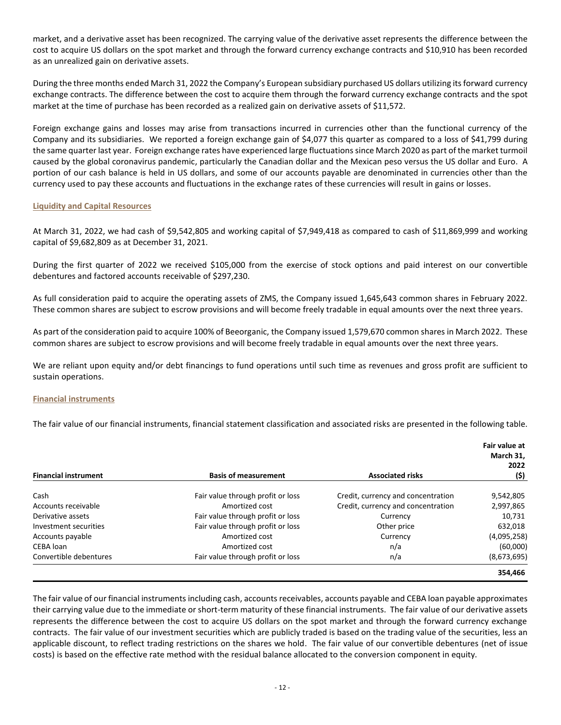market, and a derivative asset has been recognized. The carrying value of the derivative asset represents the difference between the cost to acquire US dollars on the spot market and through the forward currency exchange contracts and \$10,910 has been recorded as an unrealized gain on derivative assets.

During the three months ended March 31, 2022 the Company's European subsidiary purchased US dollars utilizing its forward currency exchange contracts. The difference between the cost to acquire them through the forward currency exchange contracts and the spot market at the time of purchase has been recorded as a realized gain on derivative assets of \$11,572.

Foreign exchange gains and losses may arise from transactions incurred in currencies other than the functional currency of the Company and its subsidiaries. We reported a foreign exchange gain of \$4,077 this quarter as compared to a loss of \$41,799 during the same quarter last year. Foreign exchange rates have experienced large fluctuations since March 2020 as part of the market turmoil caused by the global coronavirus pandemic, particularly the Canadian dollar and the Mexican peso versus the US dollar and Euro. A portion of our cash balance is held in US dollars, and some of our accounts payable are denominated in currencies other than the currency used to pay these accounts and fluctuations in the exchange rates of these currencies will result in gains or losses.

# <span id="page-11-0"></span>**Liquidity and Capital Resources**

At March 31, 2022, we had cash of \$9,542,805 and working capital of \$7,949,418 as compared to cash of \$11,869,999 and working capital of \$9,682,809 as at December 31, 2021.

During the first quarter of 2022 we received \$105,000 from the exercise of stock options and paid interest on our convertible debentures and factored accounts receivable of \$297,230.

As full consideration paid to acquire the operating assets of ZMS, the Company issued 1,645,643 common shares in February 2022. These common shares are subject to escrow provisions and will become freely tradable in equal amounts over the next three years.

As part of the consideration paid to acquire 100% of Beeorganic, the Company issued 1,579,670 common shares in March 2022. These common shares are subject to escrow provisions and will become freely tradable in equal amounts over the next three years.

We are reliant upon equity and/or debt financings to fund operations until such time as revenues and gross profit are sufficient to sustain operations.

#### **Financial instruments**

The fair value of our financial instruments, financial statement classification and associated risks are presented in the following table.

|                             |                                   |                                    | Fair value at<br>March 31,<br>2022 |
|-----------------------------|-----------------------------------|------------------------------------|------------------------------------|
| <b>Financial instrument</b> | <b>Basis of measurement</b>       | <b>Associated risks</b>            | (\$)                               |
| Cash                        | Fair value through profit or loss | Credit, currency and concentration | 9,542,805                          |
| Accounts receivable         | Amortized cost                    | Credit, currency and concentration | 2,997,865                          |
| Derivative assets           | Fair value through profit or loss | Currency                           | 10,731                             |
| Investment securities       | Fair value through profit or loss | Other price                        | 632,018                            |
| Accounts payable            | Amortized cost                    | Currency                           | (4,095,258)                        |
| CEBA loan                   | Amortized cost                    | n/a                                | (60,000)                           |
| Convertible debentures      | Fair value through profit or loss | n/a                                | (8,673,695)                        |
|                             |                                   |                                    | 354,466                            |

The fair value of our financial instruments including cash, accounts receivables, accounts payable and CEBA loan payable approximates their carrying value due to the immediate or short-term maturity of these financial instruments. The fair value of our derivative assets represents the difference between the cost to acquire US dollars on the spot market and through the forward currency exchange contracts. The fair value of our investment securities which are publicly traded is based on the trading value of the securities, less an applicable discount, to reflect trading restrictions on the shares we hold. The fair value of our convertible debentures (net of issue costs) is based on the effective rate method with the residual balance allocated to the conversion component in equity.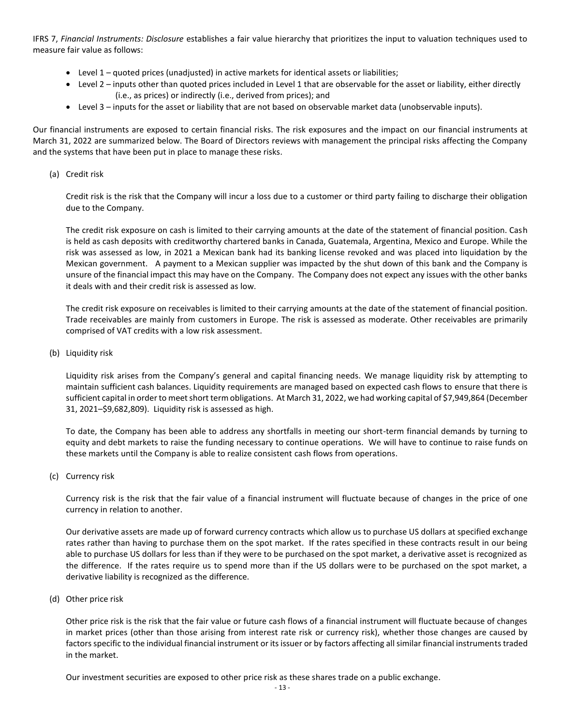IFRS 7, *Financial Instruments: Disclosure* establishes a fair value hierarchy that prioritizes the input to valuation techniques used to measure fair value as follows:

- $\bullet$  Level 1 quoted prices (unadjusted) in active markets for identical assets or liabilities;
- Level 2 inputs other than quoted prices included in Level 1 that are observable for the asset or liability, either directly (i.e., as prices) or indirectly (i.e., derived from prices); and
- Level 3 inputs for the asset or liability that are not based on observable market data (unobservable inputs).

Our financial instruments are exposed to certain financial risks. The risk exposures and the impact on our financial instruments at March 31, 2022 are summarized below. The Board of Directors reviews with management the principal risks affecting the Company and the systems that have been put in place to manage these risks.

(a) Credit risk

Credit risk is the risk that the Company will incur a loss due to a customer or third party failing to discharge their obligation due to the Company.

The credit risk exposure on cash is limited to their carrying amounts at the date of the statement of financial position. Cash is held as cash deposits with creditworthy chartered banks in Canada, Guatemala, Argentina, Mexico and Europe. While the risk was assessed as low, in 2021 a Mexican bank had its banking license revoked and was placed into liquidation by the Mexican government. A payment to a Mexican supplier was impacted by the shut down of this bank and the Company is unsure of the financial impact this may have on the Company. The Company does not expect any issues with the other banks it deals with and their credit risk is assessed as low.

The credit risk exposure on receivables is limited to their carrying amounts at the date of the statement of financial position. Trade receivables are mainly from customers in Europe. The risk is assessed as moderate. Other receivables are primarily comprised of VAT credits with a low risk assessment.

(b) Liquidity risk

Liquidity risk arises from the Company's general and capital financing needs. We manage liquidity risk by attempting to maintain sufficient cash balances. Liquidity requirements are managed based on expected cash flows to ensure that there is sufficient capital in order to meet short term obligations. At March 31, 2022, we had working capital of \$7,949,864 (December 31, 2021–\$9,682,809). Liquidity risk is assessed as high.

To date, the Company has been able to address any shortfalls in meeting our short-term financial demands by turning to equity and debt markets to raise the funding necessary to continue operations. We will have to continue to raise funds on these markets until the Company is able to realize consistent cash flows from operations.

(c) Currency risk

Currency risk is the risk that the fair value of a financial instrument will fluctuate because of changes in the price of one currency in relation to another.

Our derivative assets are made up of forward currency contracts which allow us to purchase US dollars at specified exchange rates rather than having to purchase them on the spot market. If the rates specified in these contracts result in our being able to purchase US dollars for less than if they were to be purchased on the spot market, a derivative asset is recognized as the difference. If the rates require us to spend more than if the US dollars were to be purchased on the spot market, a derivative liability is recognized as the difference.

(d) Other price risk

Other price risk is the risk that the fair value or future cash flows of a financial instrument will fluctuate because of changes in market prices (other than those arising from interest rate risk or currency risk), whether those changes are caused by factors specific to the individual financial instrument or its issuer or by factors affecting all similar financial instruments traded in the market.

Our investment securities are exposed to other price risk as these shares trade on a public exchange.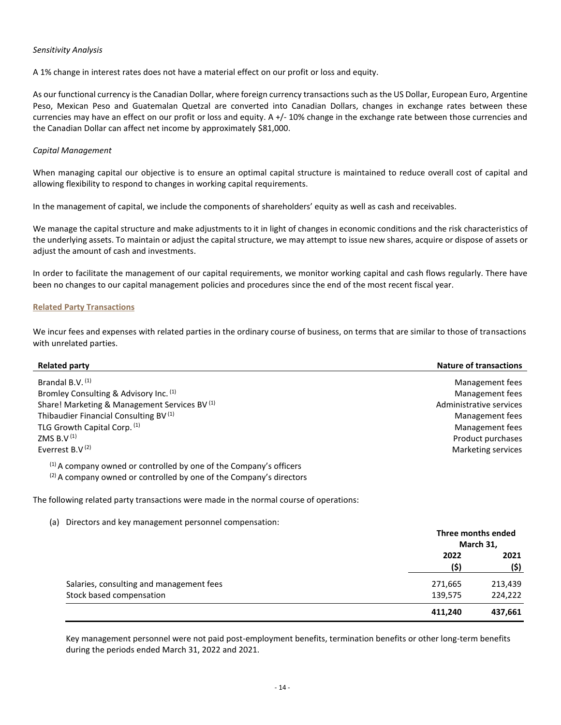#### *Sensitivity Analysis*

A 1% change in interest rates does not have a material effect on our profit or loss and equity.

As our functional currency is the Canadian Dollar, where foreign currency transactions such as the US Dollar, European Euro, Argentine Peso, Mexican Peso and Guatemalan Quetzal are converted into Canadian Dollars, changes in exchange rates between these currencies may have an effect on our profit or loss and equity. A +/- 10% change in the exchange rate between those currencies and the Canadian Dollar can affect net income by approximately \$81,000.

## *Capital Management*

When managing capital our objective is to ensure an optimal capital structure is maintained to reduce overall cost of capital and allowing flexibility to respond to changes in working capital requirements.

In the management of capital, we include the components of shareholders' equity as well as cash and receivables.

We manage the capital structure and make adjustments to it in light of changes in economic conditions and the risk characteristics of the underlying assets. To maintain or adjust the capital structure, we may attempt to issue new shares, acquire or dispose of assets or adjust the amount of cash and investments.

In order to facilitate the management of our capital requirements, we monitor working capital and cash flows regularly. There have been no changes to our capital management policies and procedures since the end of the most recent fiscal year.

#### **Related Party Transactions**

We incur fees and expenses with related parties in the ordinary course of business, on terms that are similar to those of transactions with unrelated parties.

| <b>Related party</b>                                                          | <b>Nature of transactions</b> |
|-------------------------------------------------------------------------------|-------------------------------|
| Brandal B.V. (1)                                                              | Management fees               |
|                                                                               |                               |
| Bromley Consulting & Advisory Inc. (1)                                        | Management fees               |
| Share! Marketing & Management Services BV <sup>(1)</sup>                      | Administrative services       |
| Thibaudier Financial Consulting BV <sup>(1)</sup>                             | Management fees               |
| TLG Growth Capital Corp. (1)                                                  | Management fees               |
| ZMS B.V $(1)$                                                                 | Product purchases             |
| Everrest B.V $(2)$                                                            | Marketing services            |
| <sup>(1)</sup> A company owned or controlled by one of the Company's officers |                               |
| (2) A company owned or controlled by one of the Company's directors           |                               |

The following related party transactions were made in the normal course of operations:

(a) Directors and key management personnel compensation:

|                                          | Three months ended<br>March 31, |              |
|------------------------------------------|---------------------------------|--------------|
|                                          | 2022<br>(\$)                    | 2021<br>(\$) |
| Salaries, consulting and management fees | 271,665                         | 213,439      |
| Stock based compensation                 | 139,575                         | 224,222      |
|                                          | 411,240                         | 437,661      |

Key management personnel were not paid post-employment benefits, termination benefits or other long-term benefits during the periods ended March 31, 2022 and 2021.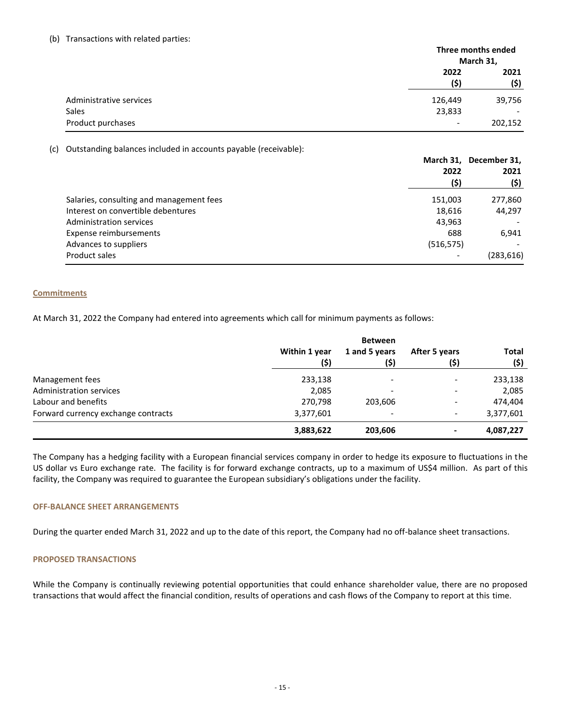#### (b) Transactions with related parties:

|                         |                          | Three months ended |  |
|-------------------------|--------------------------|--------------------|--|
|                         |                          | March 31,          |  |
|                         | 2022                     | 2021               |  |
|                         | (\$)                     | (\$)               |  |
| Administrative services | 126,449                  | 39,756             |  |
| <b>Sales</b>            | 23,833                   | -                  |  |
| Product purchases       | $\overline{\phantom{a}}$ | 202,152            |  |

(c) Outstanding balances included in accounts payable (receivable):

|                                          | March 31, December 31,   |            |      |
|------------------------------------------|--------------------------|------------|------|
|                                          | 2022<br>(\$)             |            | 2021 |
|                                          |                          | (\$)       |      |
| Salaries, consulting and management fees | 151,003                  | 277,860    |      |
| Interest on convertible debentures       | 18,616                   | 44,297     |      |
| Administration services                  | 43,963                   |            |      |
| Expense reimbursements                   | 688                      | 6.941      |      |
| Advances to suppliers                    | (516, 575)               |            |      |
| Product sales                            | $\overline{\phantom{0}}$ | (283, 616) |      |

# **Commitments**

At March 31, 2022 the Company had entered into agreements which call for minimum payments as follows:

|                                                            | Within 1 year<br>(\$) | 1 and 5 years<br>(\$)               | After 5 years<br>(\$)                                | <b>Total</b><br>(\$) |
|------------------------------------------------------------|-----------------------|-------------------------------------|------------------------------------------------------|----------------------|
| Management fees                                            | 233,138               | $\overline{\phantom{a}}$            | $\overline{\phantom{0}}$                             | 233,138              |
| Administration services                                    | 2,085<br>270,798      | $\overline{\phantom{0}}$<br>203,606 | $\overline{\phantom{a}}$<br>$\overline{\phantom{0}}$ | 2,085<br>474,404     |
| Labour and benefits<br>Forward currency exchange contracts |                       |                                     |                                                      |                      |
|                                                            | 3,377,601             | $\overline{a}$                      | $\overline{\phantom{0}}$                             | 3,377,601            |
|                                                            | 3,883,622             | 203,606                             | ٠                                                    | 4,087,227            |

The Company has a hedging facility with a European financial services company in order to hedge its exposure to fluctuations in the US dollar vs Euro exchange rate. The facility is for forward exchange contracts, up to a maximum of US\$4 million. As part of this facility, the Company was required to guarantee the European subsidiary's obligations under the facility.

## **OFF-BALANCE SHEET ARRANGEMENTS**

During the quarter ended March 31, 2022 and up to the date of this report, the Company had no off-balance sheet transactions.

# **PROPOSED TRANSACTIONS**

While the Company is continually reviewing potential opportunities that could enhance shareholder value, there are no proposed transactions that would affect the financial condition, results of operations and cash flows of the Company to report at this time.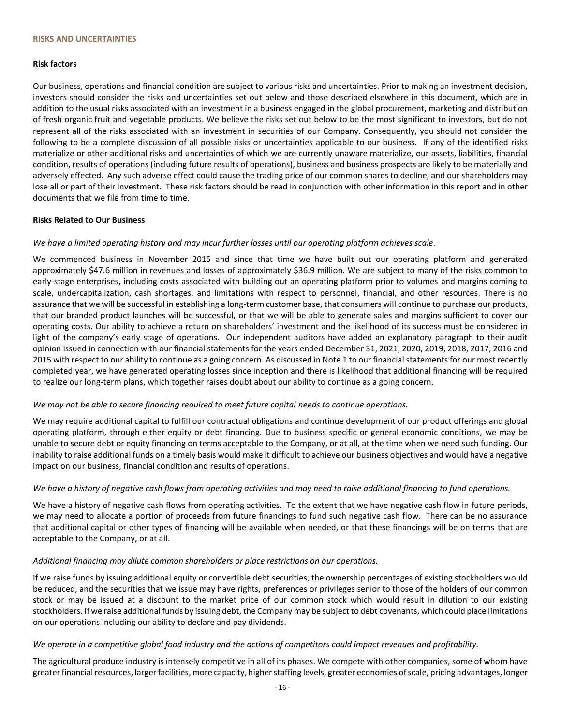#### **Risk factors**

Our business, operations and financial condition are subject to various risks and uncertainties. Prior to making an investment decision, investors should consider the risks and uncertainties set out below and those described elsewhere in this document, which are in addition to the usual risks associated with an investment in a business engaged in the global procurement, marketing and distribution of fresh organic fruit and vegetable products. We believe the risks set out below to be the most significant to investors, but do not represent all of the risks associated with an investment in securities of our Company. Consequently, you should not consider the following to be a complete discussion of all possible risks or uncertainties applicable to our business. If any of the identified risks materialize or other additional risks and uncertainties of which we are currently unaware materialize, our assets, liabilities, financial condition, results of operations (including future results of operations), business and business prospects are likely to be materially and adversely effected. Any such adverse effect could cause the trading price of our common shares to decline, and our shareholders may lose all or part of their investment. These risk factors should be read in conjunction with other information in this report and in other documents that we file from time to time.

#### **Risks Related to Our Business**

#### *We have a limited operating history and may incur further losses until our operating platform achieves scale.*

We commenced business in November 2015 and since that time we have built out our operating platform and generated approximately \$47.6 million in revenues and losses of approximately \$36.9 million. We are subject to many of the risks common to early-stage enterprises, including costs associated with building out an operating platform prior to volumes and margins coming to scale, undercapitalization, cash shortages, and limitations with respect to personnel, financial, and other resources. There is no assurance that we will be successful in establishing a long-term customer base, that consumers will continue to purchase our products, that our branded product launches will be successful, or that we will be able to generate sales and margins sufficient to cover our operating costs. Our ability to achieve a return on shareholders' investment and the likelihood of its success must be considered in light of the company's early stage of operations. Our independent auditors have added an explanatory paragraph to their audit opinion issued in connection with our financial statements for the years ended December 31, 2021, 2020, 2019, 2018, 2017, 2016 and 2015 with respect to our ability to continue as a going concern. As discussed in Note 1 to our financial statements for our most recently completed year, we have generated operating losses since inception and there is likelihood that additional financing will be required to realize our long-term plans, which together raises doubt about our ability to continue as a going concern.

#### *We may not be able to secure financing required to meet future capital needs to continue operations.*

We may require additional capital to fulfill our contractual obligations and continue development of our product offerings and global operating platform, through either equity or debt financing. Due to business specific or general economic conditions, we may be unable to secure debt or equity financing on terms acceptable to the Company, or at all, at the time when we need such funding. Our inability to raise additional funds on a timely basis would make it difficult to achieve our business objectives and would have a negative impact on our business, financial condition and results of operations.

# *We have a history of negative cash flows from operating activities and may need to raise additional financing to fund operations.*

We have a history of negative cash flows from operating activities. To the extent that we have negative cash flow in future periods, we may need to allocate a portion of proceeds from future financings to fund such negative cash flow. There can be no assurance that additional capital or other types of financing will be available when needed, or that these financings will be on terms that are acceptable to the Company, or at all.

#### *Additional financing may dilute common shareholders or place restrictions on our operations.*

If we raise funds by issuing additional equity or convertible debt securities, the ownership percentages of existing stockholders would be reduced, and the securities that we issue may have rights, preferences or privileges senior to those of the holders of our common stock or may be issued at a discount to the market price of our common stock which would result in dilution to our existing stockholders. If we raise additional funds by issuing debt, the Company may be subject to debt covenants, which could place limitations on our operations including our ability to declare and pay dividends.

#### *We operate in a competitive global food industry and the actions of competitors could impact revenues and profitability.*

The agricultural produce industry is intensely competitive in all of its phases. We compete with other companies, some of whom have greater financial resources, larger facilities, more capacity, higher staffing levels, greater economies of scale, pricing advantages, longer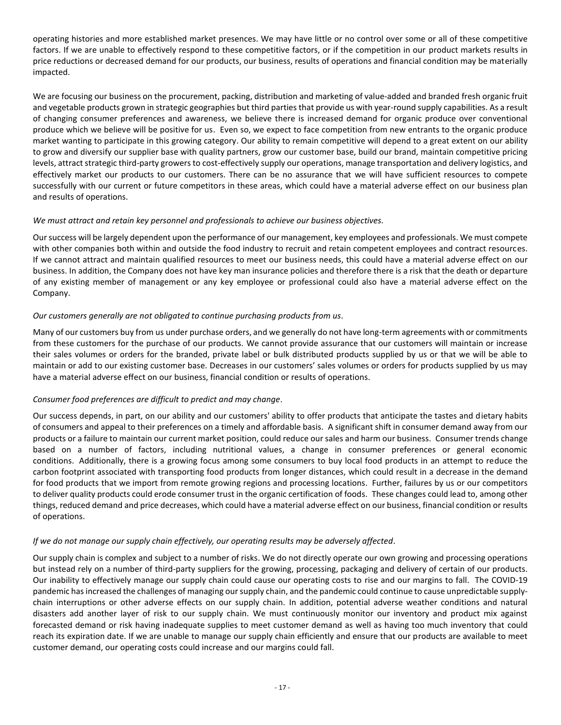operating histories and more established market presences. We may have little or no control over some or all of these competitive factors. If we are unable to effectively respond to these competitive factors, or if the competition in our product markets results in price reductions or decreased demand for our products, our business, results of operations and financial condition may be materially impacted.

We are focusing our business on the procurement, packing, distribution and marketing of value-added and branded fresh organic fruit and vegetable products grown in strategic geographies but third parties that provide us with year-round supply capabilities. As a result of changing consumer preferences and awareness, we believe there is increased demand for organic produce over conventional produce which we believe will be positive for us. Even so, we expect to face competition from new entrants to the organic produce market wanting to participate in this growing category. Our ability to remain competitive will depend to a great extent on our ability to grow and diversify our supplier base with quality partners, grow our customer base, build our brand, maintain competitive pricing levels, attract strategic third-party growers to cost-effectively supply our operations, manage transportation and delivery logistics, and effectively market our products to our customers. There can be no assurance that we will have sufficient resources to compete successfully with our current or future competitors in these areas, which could have a material adverse effect on our business plan and results of operations.

# *We must attract and retain key personnel and professionals to achieve our business objectives.*

Our success will be largely dependent upon the performance of our management, key employees and professionals. We must compete with other companies both within and outside the food industry to recruit and retain competent employees and contract resources. If we cannot attract and maintain qualified resources to meet our business needs, this could have a material adverse effect on our business. In addition, the Company does not have key man insurance policies and therefore there is a risk that the death or departure of any existing member of management or any key employee or professional could also have a material adverse effect on the Company.

# *Our customers generally are not obligated to continue purchasing products from us.*

Many of our customers buy from us under purchase orders, and we generally do not have long-term agreements with or commitments from these customers for the purchase of our products. We cannot provide assurance that our customers will maintain or increase their sales volumes or orders for the branded, private label or bulk distributed products supplied by us or that we will be able to maintain or add to our existing customer base. Decreases in our customers' sales volumes or orders for products supplied by us may have a material adverse effect on our business, financial condition or results of operations.

# *Consumer food preferences are difficult to predict and may change.*

Our success depends, in part, on our ability and our customers' ability to offer products that anticipate the tastes and dietary habits of consumers and appeal to their preferences on a timely and affordable basis. A significant shift in consumer demand away from our products or a failure to maintain our current market position, could reduce our sales and harm our business. Consumer trends change based on a number of factors, including nutritional values, a change in consumer preferences or general economic conditions. Additionally, there is a growing focus among some consumers to buy local food products in an attempt to reduce the carbon footprint associated with transporting food products from longer distances, which could result in a decrease in the demand for food products that we import from remote growing regions and processing locations. Further, failures by us or our competitors to deliver quality products could erode consumer trust in the organic certification of foods. These changes could lead to, among other things, reduced demand and price decreases, which could have a material adverse effect on our business, financial condition or results of operations.

# *If we do not manage our supply chain effectively, our operating results may be adversely affected.*

Our supply chain is complex and subject to a number of risks. We do not directly operate our own growing and processing operations but instead rely on a number of third-party suppliers for the growing, processing, packaging and delivery of certain of our products. Our inability to effectively manage our supply chain could cause our operating costs to rise and our margins to fall. The COVID-19 pandemic has increased the challenges of managing our supply chain, and the pandemic could continue to cause unpredictable supplychain interruptions or other adverse effects on our supply chain. In addition, potential adverse weather conditions and natural disasters add another layer of risk to our supply chain. We must continuously monitor our inventory and product mix against forecasted demand or risk having inadequate supplies to meet customer demand as well as having too much inventory that could reach its expiration date. If we are unable to manage our supply chain efficiently and ensure that our products are available to meet customer demand, our operating costs could increase and our margins could fall.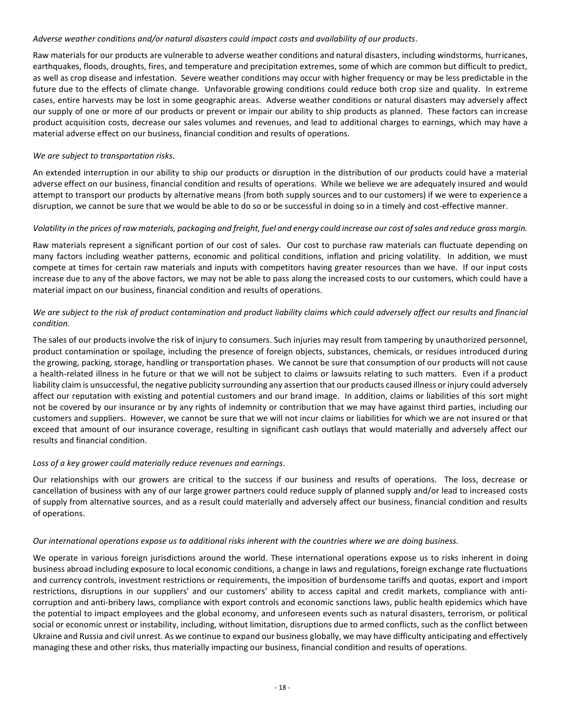#### *Adverse weather conditions and/or natural disasters could impact costs and availability of our products.*

Raw materials for our products are vulnerable to adverse weather conditions and natural disasters, including windstorms, hurricanes, earthquakes, floods, droughts, fires, and temperature and precipitation extremes, some of which are common but difficult to predict, as well as crop disease and infestation. Severe weather conditions may occur with higher frequency or may be less predictable in the future due to the effects of climate change. Unfavorable growing conditions could reduce both crop size and quality. In extreme cases, entire harvests may be lost in some geographic areas. Adverse weather conditions or natural disasters may adversely affect our supply of one or more of our products or prevent or impair our ability to ship products as planned. These factors can increase product acquisition costs, decrease our sales volumes and revenues, and lead to additional charges to earnings, which may have a material adverse effect on our business, financial condition and results of operations.

## *We are subject to transportation risks.*

An extended interruption in our ability to ship our products or disruption in the distribution of our products could have a material adverse effect on our business, financial condition and results of operations. While we believe we are adequately insured and would attempt to transport our products by alternative means (from both supply sources and to our customers) if we were to experience a disruption, we cannot be sure that we would be able to do so or be successful in doing so in a timely and cost-effective manner.

#### *Volatility in the prices of raw materials, packaging and freight, fuel and energy could increase our cost of sales and reduce gross margin.*

Raw materials represent a significant portion of our cost of sales. Our cost to purchase raw materials can fluctuate depending on many factors including weather patterns, economic and political conditions, inflation and pricing volatility. In addition, we must compete at times for certain raw materials and inputs with competitors having greater resources than we have. If our input costs increase due to any of the above factors, we may not be able to pass along the increased costs to our customers, which could have a material impact on our business, financial condition and results of operations.

# *We are subject to the risk of product contamination and product liability claims which could adversely affect our results and financial condition.*

The sales of our products involve the risk of injury to consumers. Such injuries may result from tampering by unauthorized personnel, product contamination or spoilage, including the presence of foreign objects, substances, chemicals, or residues introduced during the growing, packing, storage, handling or transportation phases. We cannot be sure that consumption of our products will not cause a health-related illness in he future or that we will not be subject to claims or lawsuits relating to such matters. Even if a product liability claim is unsuccessful, the negative publicity surrounding any assertion that our products caused illness or injury could adversely affect our reputation with existing and potential customers and our brand image. In addition, claims or liabilities of this sort might not be covered by our insurance or by any rights of indemnity or contribution that we may have against third parties, including our customers and suppliers. However, we cannot be sure that we will not incur claims or liabilities for which we are not insured or that exceed that amount of our insurance coverage, resulting in significant cash outlays that would materially and adversely affect our results and financial condition.

# *Loss of a key grower could materially reduce revenues and earnings.*

Our relationships with our growers are critical to the success if our business and results of operations. The loss, decrease or cancellation of business with any of our large grower partners could reduce supply of planned supply and/or lead to increased costs of supply from alternative sources, and as a result could materially and adversely affect our business, financial condition and results of operations.

#### *Our international operations expose us to additional risks inherent with the countries where we are doing business.*

We operate in various foreign jurisdictions around the world. These international operations expose us to risks inherent in doing business abroad including exposure to local economic conditions, a change in laws and regulations, foreign exchange rate fluctuations and currency controls, investment restrictions or requirements, the imposition of burdensome tariffs and quotas, export and import restrictions, disruptions in our suppliers' and our customers' ability to access capital and credit markets, compliance with anticorruption and anti-bribery laws, compliance with export controls and economic sanctions laws, public health epidemics which have the potential to impact employees and the global economy, and unforeseen events such as natural disasters, terrorism, or political social or economic unrest or instability, including, without limitation, disruptions due to armed conflicts, such as the conflict between Ukraine and Russia and civil unrest. As we continue to expand our business globally, we may have difficulty anticipating and effectively managing these and other risks, thus materially impacting our business, financial condition and results of operations.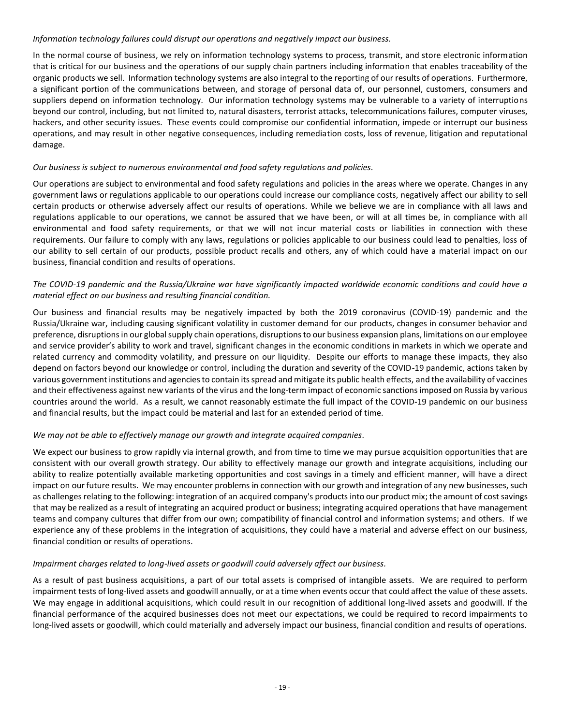#### *Information technology failures could disrupt our operations and negatively impact our business.*

In the normal course of business, we rely on information technology systems to process, transmit, and store electronic information that is critical for our business and the operations of our supply chain partners including information that enables traceability of the organic products we sell. Information technology systems are also integral to the reporting of our results of operations. Furthermore, a significant portion of the communications between, and storage of personal data of, our personnel, customers, consumers and suppliers depend on information technology. Our information technology systems may be vulnerable to a variety of interruptions beyond our control, including, but not limited to, natural disasters, terrorist attacks, telecommunications failures, computer viruses, hackers, and other security issues. These events could compromise our confidential information, impede or interrupt our business operations, and may result in other negative consequences, including remediation costs, loss of revenue, litigation and reputational damage.

# *Our business is subject to numerous environmental and food safety regulations and policies.*

Our operations are subject to environmental and food safety regulations and policies in the areas where we operate. Changes in any government laws or regulations applicable to our operations could increase our compliance costs, negatively affect our ability to sell certain products or otherwise adversely affect our results of operations. While we believe we are in compliance with all laws and regulations applicable to our operations, we cannot be assured that we have been, or will at all times be, in compliance with all environmental and food safety requirements, or that we will not incur material costs or liabilities in connection with these requirements. Our failure to comply with any laws, regulations or policies applicable to our business could lead to penalties, loss of our ability to sell certain of our products, possible product recalls and others, any of which could have a material impact on our business, financial condition and results of operations.

# *The COVID-19 pandemic and the Russia/Ukraine war have significantly impacted worldwide economic conditions and could have a material effect on our business and resulting financial condition.*

Our business and financial results may be negatively impacted by both the 2019 coronavirus (COVID-19) pandemic and the Russia/Ukraine war, including causing significant volatility in customer demand for our products, changes in consumer behavior and preference, disruptions in our global supply chain operations, disruptions to our business expansion plans, limitations on our employee and service provider's ability to work and travel, significant changes in the economic conditions in markets in which we operate and related currency and commodity volatility, and pressure on our liquidity. Despite our efforts to manage these impacts, they also depend on factors beyond our knowledge or control, including the duration and severity of the COVID-19 pandemic, actions taken by various government institutions and agencies to contain its spread and mitigate its public health effects, and the availability of vaccines and their effectiveness against new variants of the virus and the long-term impact of economic sanctions imposed on Russia by various countries around the world. As a result, we cannot reasonably estimate the full impact of the COVID-19 pandemic on our business and financial results, but the impact could be material and last for an extended period of time.

# *We may not be able to effectively manage our growth and integrate acquired companies.*

We expect our business to grow rapidly via internal growth, and from time to time we may pursue acquisition opportunities that are consistent with our overall growth strategy. Our ability to effectively manage our growth and integrate acquisitions, including our ability to realize potentially available marketing opportunities and cost savings in a timely and efficient manner, will have a direct impact on our future results. We may encounter problems in connection with our growth and integration of any new businesses, such as challenges relating to the following: integration of an acquired company's products into our product mix; the amount of cost savings that may be realized as a result of integrating an acquired product or business; integrating acquired operations that have management teams and company cultures that differ from our own; compatibility of financial control and information systems; and others. If we experience any of these problems in the integration of acquisitions, they could have a material and adverse effect on our business, financial condition or results of operations.

# *Impairment charges related to long-lived assets or goodwill could adversely affect our business.*

As a result of past business acquisitions, a part of our total assets is comprised of intangible assets. We are required to perform impairment tests of long-lived assets and goodwill annually, or at a time when events occur that could affect the value of these assets. We may engage in additional acquisitions, which could result in our recognition of additional long-lived assets and goodwill. If the financial performance of the acquired businesses does not meet our expectations, we could be required to record impairments to long-lived assets or goodwill, which could materially and adversely impact our business, financial condition and results of operations.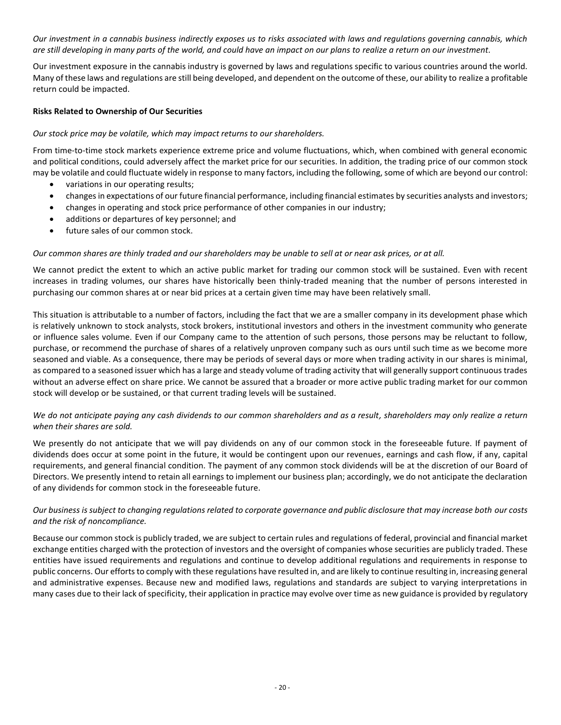*Our investment in a cannabis business indirectly exposes us to risks associated with laws and regulations governing cannabis, which are still developing in many parts of the world, and could have an impact on our plans to realize a return on our investment.*

Our investment exposure in the cannabis industry is governed by laws and regulations specific to various countries around the world. Many of these laws and regulations are still being developed, and dependent on the outcome of these, our ability to realize a profitable return could be impacted.

# **Risks Related to Ownership of Our Securities**

# *Our stock price may be volatile, which may impact returns to our shareholders.*

From time-to-time stock markets experience extreme price and volume fluctuations, which, when combined with general economic and political conditions, could adversely affect the market price for our securities. In addition, the trading price of our common stock may be volatile and could fluctuate widely in response to many factors, including the following, some of which are beyond our control:

- variations in our operating results;
- changes in expectations of our future financial performance, including financial estimates by securities analysts and investors;
- changes in operating and stock price performance of other companies in our industry;
- additions or departures of key personnel; and
- future sales of our common stock.

# *Our common shares are thinly traded and our shareholders may be unable to sell at or near ask prices, or at all.*

We cannot predict the extent to which an active public market for trading our common stock will be sustained. Even with recent increases in trading volumes, our shares have historically been thinly-traded meaning that the number of persons interested in purchasing our common shares at or near bid prices at a certain given time may have been relatively small.

This situation is attributable to a number of factors, including the fact that we are a smaller company in its development phase which is relatively unknown to stock analysts, stock brokers, institutional investors and others in the investment community who generate or influence sales volume. Even if our Company came to the attention of such persons, those persons may be reluctant to follow, purchase, or recommend the purchase of shares of a relatively unproven company such as ours until such time as we become more seasoned and viable. As a consequence, there may be periods of several days or more when trading activity in our shares is minimal, as compared to a seasoned issuer which has a large and steady volume of trading activity that will generally support continuous trades without an adverse effect on share price. We cannot be assured that a broader or more active public trading market for our common stock will develop or be sustained, or that current trading levels will be sustained.

# *We do not anticipate paying any cash dividends to our common shareholders and as a result, shareholders may only realize a return when their shares are sold.*

We presently do not anticipate that we will pay dividends on any of our common stock in the foreseeable future. If payment of dividends does occur at some point in the future, it would be contingent upon our revenues, earnings and cash flow, if any, capital requirements, and general financial condition. The payment of any common stock dividends will be at the discretion of our Board of Directors. We presently intend to retain all earnings to implement our business plan; accordingly, we do not anticipate the declaration of any dividends for common stock in the foreseeable future.

# *Our business is subject to changing regulations related to corporate governance and public disclosure that may increase both our costs and the risk of noncompliance.*

Because our common stock is publicly traded, we are subject to certain rules and regulations of federal, provincial and financial market exchange entities charged with the protection of investors and the oversight of companies whose securities are publicly traded. These entities have issued requirements and regulations and continue to develop additional regulations and requirements in response to public concerns. Our efforts to comply with these regulations have resulted in, and are likely to continue resulting in, increasing general and administrative expenses. Because new and modified laws, regulations and standards are subject to varying interpretations in many cases due to their lack of specificity, their application in practice may evolve over time as new guidance is provided by regulatory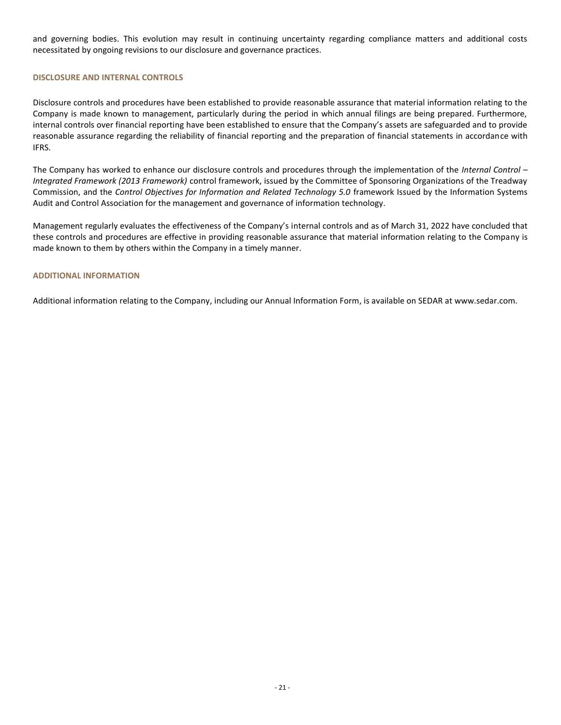and governing bodies. This evolution may result in continuing uncertainty regarding compliance matters and additional costs necessitated by ongoing revisions to our disclosure and governance practices.

#### **DISCLOSURE AND INTERNAL CONTROLS**

Disclosure controls and procedures have been established to provide reasonable assurance that material information relating to the Company is made known to management, particularly during the period in which annual filings are being prepared. Furthermore, internal controls over financial reporting have been established to ensure that the Company's assets are safeguarded and to provide reasonable assurance regarding the reliability of financial reporting and the preparation of financial statements in accordance with IFRS.

The Company has worked to enhance our disclosure controls and procedures through the implementation of the *Internal Control – Integrated Framework (2013 Framework)* control framework, issued by the Committee of Sponsoring Organizations of the Treadway Commission, and the *Control Objectives for Information and Related Technology 5.0* framework Issued by the Information Systems Audit and Control Association for the management and governance of information technology.

Management regularly evaluates the effectiveness of the Company's internal controls and as of March 31, 2022 have concluded that these controls and procedures are effective in providing reasonable assurance that material information relating to the Company is made known to them by others within the Company in a timely manner.

#### **ADDITIONAL INFORMATION**

Additional information relating to the Company, including our Annual Information Form, is available on SEDAR at [www.sedar.com.](http://www.sedar.com/)